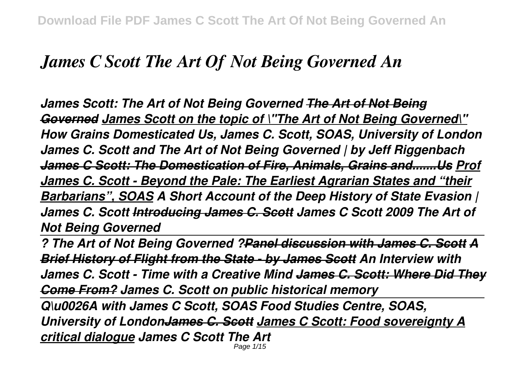## *James C Scott The Art Of Not Being Governed An*

*James Scott: The Art of Not Being Governed The Art of Not Being Governed James Scott on the topic of \"The Art of Not Being Governed\" How Grains Domesticated Us, James C. Scott, SOAS, University of London James C. Scott and The Art of Not Being Governed | by Jeff Riggenbach James C Scott: The Domestication of Fire, Animals, Grains and.......Us Prof James C. Scott - Beyond the Pale: The Earliest Agrarian States and "their Barbarians", SOAS A Short Account of the Deep History of State Evasion | James C. Scott Introducing James C. Scott James C Scott 2009 The Art of Not Being Governed*

*? The Art of Not Being Governed ?Panel discussion with James C. Scott A Brief History of Flight from the State - by James Scott An Interview with James C. Scott - Time with a Creative Mind James C. Scott: Where Did They Come From? James C. Scott on public historical memory*

*Q\u0026A with James C Scott, SOAS Food Studies Centre, SOAS, University of LondonJames C. Scott James C Scott: Food sovereignty A critical dialogue James C Scott The Art* Page 1/15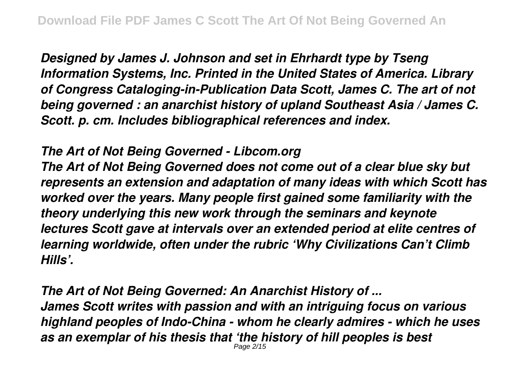*Designed by James J. Johnson and set in Ehrhardt type by Tseng Information Systems, Inc. Printed in the United States of America. Library of Congress Cataloging-in-Publication Data Scott, James C. The art of not being governed : an anarchist history of upland Southeast Asia / James C. Scott. p. cm. Includes bibliographical references and index.*

## *The Art of Not Being Governed - Libcom.org*

*The Art of Not Being Governed does not come out of a clear blue sky but represents an extension and adaptation of many ideas with which Scott has worked over the years. Many people first gained some familiarity with the theory underlying this new work through the seminars and keynote lectures Scott gave at intervals over an extended period at elite centres of learning worldwide, often under the rubric 'Why Civilizations Can't Climb Hills'.*

*The Art of Not Being Governed: An Anarchist History of ... James Scott writes with passion and with an intriguing focus on various highland peoples of Indo-China - whom he clearly admires - which he uses as an exemplar of his thesis that 'the history of hill peoples is best* Page 2/15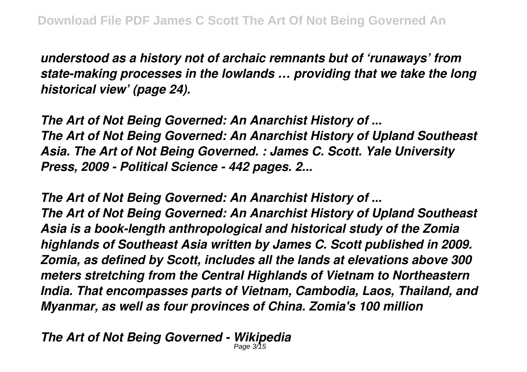*understood as a history not of archaic remnants but of 'runaways' from state-making processes in the lowlands … providing that we take the long historical view' (page 24).*

*The Art of Not Being Governed: An Anarchist History of ... The Art of Not Being Governed: An Anarchist History of Upland Southeast Asia. The Art of Not Being Governed. : James C. Scott. Yale University Press, 2009 - Political Science - 442 pages. 2...*

*The Art of Not Being Governed: An Anarchist History of ... The Art of Not Being Governed: An Anarchist History of Upland Southeast Asia is a book-length anthropological and historical study of the Zomia highlands of Southeast Asia written by James C. Scott published in 2009. Zomia, as defined by Scott, includes all the lands at elevations above 300 meters stretching from the Central Highlands of Vietnam to Northeastern India. That encompasses parts of Vietnam, Cambodia, Laos, Thailand, and Myanmar, as well as four provinces of China. Zomia's 100 million*

*The Art of Not Being Governed - Wikipedia* Page 3/15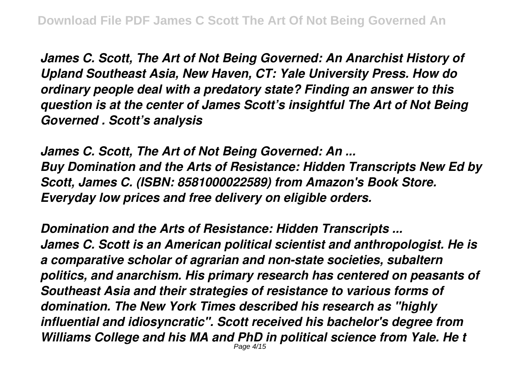*James C. Scott, The Art of Not Being Governed: An Anarchist History of Upland Southeast Asia, New Haven, CT: Yale University Press. How do ordinary people deal with a predatory state? Finding an answer to this question is at the center of James Scott's insightful The Art of Not Being Governed . Scott's analysis*

*James C. Scott, The Art of Not Being Governed: An ... Buy Domination and the Arts of Resistance: Hidden Transcripts New Ed by Scott, James C. (ISBN: 8581000022589) from Amazon's Book Store. Everyday low prices and free delivery on eligible orders.*

*Domination and the Arts of Resistance: Hidden Transcripts ... James C. Scott is an American political scientist and anthropologist. He is a comparative scholar of agrarian and non-state societies, subaltern politics, and anarchism. His primary research has centered on peasants of Southeast Asia and their strategies of resistance to various forms of domination. The New York Times described his research as "highly influential and idiosyncratic". Scott received his bachelor's degree from Williams College and his MA and PhD in political science from Yale. He t* Page 4/15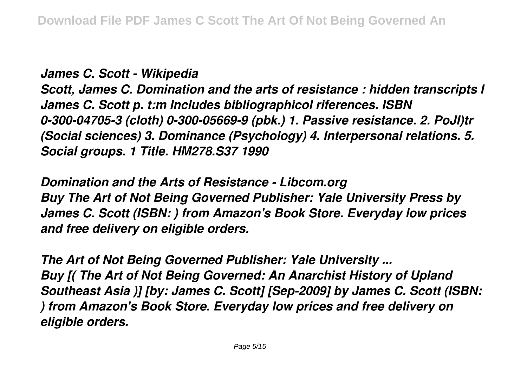*James C. Scott - Wikipedia*

*Scott, James C. Domination and the arts of resistance : hidden transcripts I James C. Scott p. t:m Includes bibliographicol riferences. ISBN 0-300-04705-3 (cloth) 0-300-05669-9 (pbk.) 1. Passive resistance. 2. PoJI)tr (Social sciences) 3. Dominance (Psychology) 4. Interpersonal relations. 5. Social groups. 1 Title. HM278.S37 1990*

*Domination and the Arts of Resistance - Libcom.org Buy The Art of Not Being Governed Publisher: Yale University Press by James C. Scott (ISBN: ) from Amazon's Book Store. Everyday low prices and free delivery on eligible orders.*

*The Art of Not Being Governed Publisher: Yale University ... Buy [( The Art of Not Being Governed: An Anarchist History of Upland Southeast Asia )] [by: James C. Scott] [Sep-2009] by James C. Scott (ISBN: ) from Amazon's Book Store. Everyday low prices and free delivery on eligible orders.*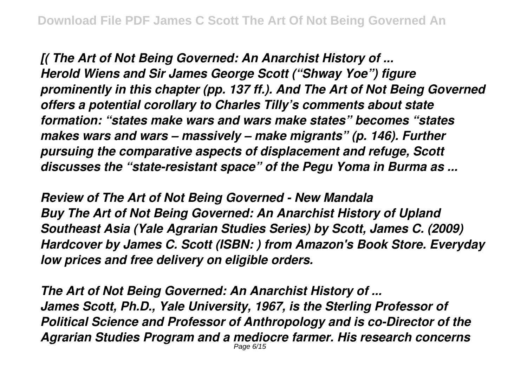*[( The Art of Not Being Governed: An Anarchist History of ... Herold Wiens and Sir James George Scott ("Shway Yoe") figure prominently in this chapter (pp. 137 ff.). And The Art of Not Being Governed offers a potential corollary to Charles Tilly's comments about state formation: "states make wars and wars make states" becomes "states makes wars and wars – massively – make migrants" (p. 146). Further pursuing the comparative aspects of displacement and refuge, Scott discusses the "state-resistant space" of the Pegu Yoma in Burma as ...*

*Review of The Art of Not Being Governed - New Mandala Buy The Art of Not Being Governed: An Anarchist History of Upland Southeast Asia (Yale Agrarian Studies Series) by Scott, James C. (2009) Hardcover by James C. Scott (ISBN: ) from Amazon's Book Store. Everyday low prices and free delivery on eligible orders.*

*The Art of Not Being Governed: An Anarchist History of ... James Scott, Ph.D., Yale University, 1967, is the Sterling Professor of Political Science and Professor of Anthropology and is co-Director of the Agrarian Studies Program and a mediocre farmer. His research concerns* Page 6/15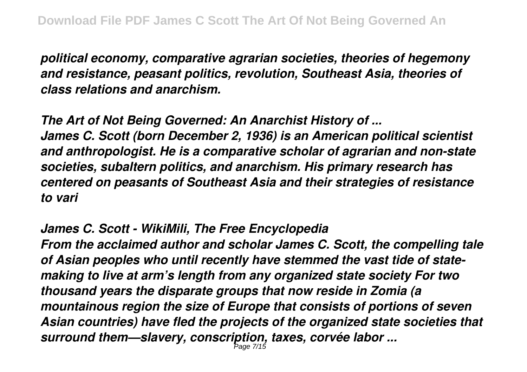*political economy, comparative agrarian societies, theories of hegemony and resistance, peasant politics, revolution, Southeast Asia, theories of class relations and anarchism.*

*The Art of Not Being Governed: An Anarchist History of ... James C. Scott (born December 2, 1936) is an American political scientist and anthropologist. He is a comparative scholar of agrarian and non-state societies, subaltern politics, and anarchism. His primary research has centered on peasants of Southeast Asia and their strategies of resistance to vari*

*James C. Scott - WikiMili, The Free Encyclopedia*

*From the acclaimed author and scholar James C. Scott, the compelling tale of Asian peoples who until recently have stemmed the vast tide of statemaking to live at arm's length from any organized state society For two thousand years the disparate groups that now reside in Zomia (a mountainous region the size of Europe that consists of portions of seven Asian countries) have fled the projects of the organized state societies that surround them—slavery, conscription, taxes, corvée labor ...* Page 7/15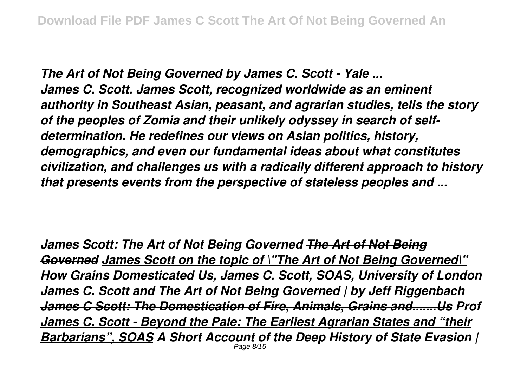*The Art of Not Being Governed by James C. Scott - Yale ... James C. Scott. James Scott, recognized worldwide as an eminent authority in Southeast Asian, peasant, and agrarian studies, tells the story of the peoples of Zomia and their unlikely odyssey in search of selfdetermination. He redefines our views on Asian politics, history, demographics, and even our fundamental ideas about what constitutes civilization, and challenges us with a radically different approach to history that presents events from the perspective of stateless peoples and ...*

*James Scott: The Art of Not Being Governed The Art of Not Being Governed James Scott on the topic of \"The Art of Not Being Governed\" How Grains Domesticated Us, James C. Scott, SOAS, University of London James C. Scott and The Art of Not Being Governed | by Jeff Riggenbach James C Scott: The Domestication of Fire, Animals, Grains and.......Us Prof James C. Scott - Beyond the Pale: The Earliest Agrarian States and "their Barbarians", SOAS A Short Account of the Deep History of State Evasion |* Page 8/15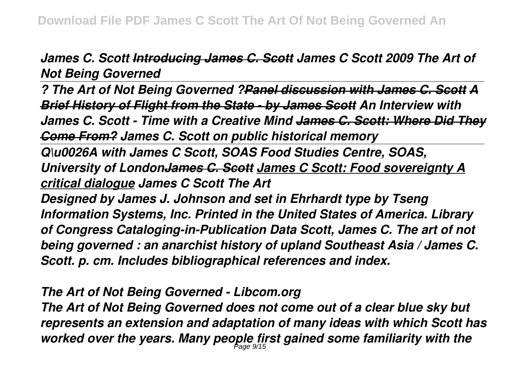*James C. Scott Introducing James C. Scott James C Scott 2009 The Art of Not Being Governed*

*? The Art of Not Being Governed ?Panel discussion with James C. Scott A Brief History of Flight from the State - by James Scott An Interview with James C. Scott - Time with a Creative Mind James C. Scott: Where Did They Come From? James C. Scott on public historical memory*

*Q\u0026A with James C Scott, SOAS Food Studies Centre, SOAS, University of LondonJames C. Scott James C Scott: Food sovereignty A critical dialogue James C Scott The Art*

*Designed by James J. Johnson and set in Ehrhardt type by Tseng Information Systems, Inc. Printed in the United States of America. Library of Congress Cataloging-in-Publication Data Scott, James C. The art of not being governed : an anarchist history of upland Southeast Asia / James C. Scott. p. cm. Includes bibliographical references and index.*

*The Art of Not Being Governed - Libcom.org*

*The Art of Not Being Governed does not come out of a clear blue sky but represents an extension and adaptation of many ideas with which Scott has worked over the years. Many people first gained some familiarity with the* Page 9/15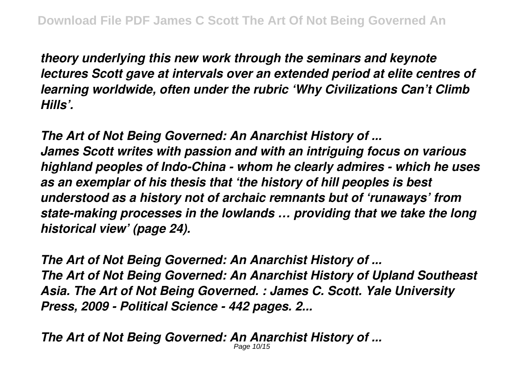*theory underlying this new work through the seminars and keynote lectures Scott gave at intervals over an extended period at elite centres of learning worldwide, often under the rubric 'Why Civilizations Can't Climb Hills'.*

*The Art of Not Being Governed: An Anarchist History of ... James Scott writes with passion and with an intriguing focus on various highland peoples of Indo-China - whom he clearly admires - which he uses as an exemplar of his thesis that 'the history of hill peoples is best understood as a history not of archaic remnants but of 'runaways' from state-making processes in the lowlands … providing that we take the long historical view' (page 24).*

*The Art of Not Being Governed: An Anarchist History of ... The Art of Not Being Governed: An Anarchist History of Upland Southeast Asia. The Art of Not Being Governed. : James C. Scott. Yale University Press, 2009 - Political Science - 442 pages. 2...*

*The Art of Not Being Governed: An Anarchist History of ...* Page 10/15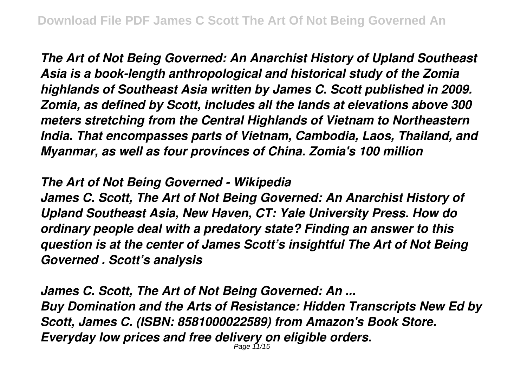*The Art of Not Being Governed: An Anarchist History of Upland Southeast Asia is a book-length anthropological and historical study of the Zomia highlands of Southeast Asia written by James C. Scott published in 2009. Zomia, as defined by Scott, includes all the lands at elevations above 300 meters stretching from the Central Highlands of Vietnam to Northeastern India. That encompasses parts of Vietnam, Cambodia, Laos, Thailand, and Myanmar, as well as four provinces of China. Zomia's 100 million*

## *The Art of Not Being Governed - Wikipedia*

*James C. Scott, The Art of Not Being Governed: An Anarchist History of Upland Southeast Asia, New Haven, CT: Yale University Press. How do ordinary people deal with a predatory state? Finding an answer to this question is at the center of James Scott's insightful The Art of Not Being Governed . Scott's analysis*

*James C. Scott, The Art of Not Being Governed: An ... Buy Domination and the Arts of Resistance: Hidden Transcripts New Ed by Scott, James C. (ISBN: 8581000022589) from Amazon's Book Store. Everyday low prices and free delivery on eligible orders.* Page 11/15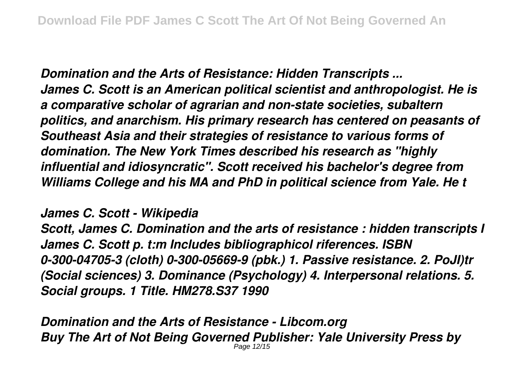*Domination and the Arts of Resistance: Hidden Transcripts ... James C. Scott is an American political scientist and anthropologist. He is a comparative scholar of agrarian and non-state societies, subaltern politics, and anarchism. His primary research has centered on peasants of Southeast Asia and their strategies of resistance to various forms of domination. The New York Times described his research as "highly influential and idiosyncratic". Scott received his bachelor's degree from Williams College and his MA and PhD in political science from Yale. He t*

*James C. Scott - Wikipedia*

*Scott, James C. Domination and the arts of resistance : hidden transcripts I James C. Scott p. t:m Includes bibliographicol riferences. ISBN 0-300-04705-3 (cloth) 0-300-05669-9 (pbk.) 1. Passive resistance. 2. PoJI)tr (Social sciences) 3. Dominance (Psychology) 4. Interpersonal relations. 5. Social groups. 1 Title. HM278.S37 1990*

*Domination and the Arts of Resistance - Libcom.org Buy The Art of Not Being Governed Publisher: Yale University Press by* Page 12/15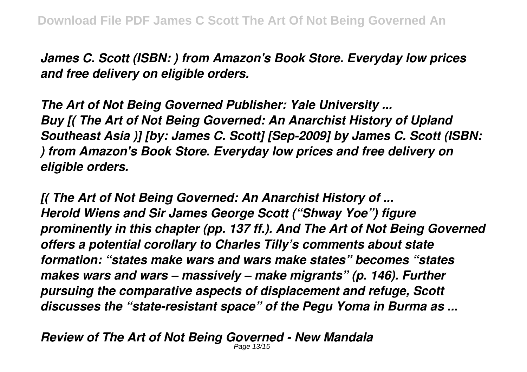*James C. Scott (ISBN: ) from Amazon's Book Store. Everyday low prices and free delivery on eligible orders.*

*The Art of Not Being Governed Publisher: Yale University ... Buy [( The Art of Not Being Governed: An Anarchist History of Upland Southeast Asia )] [by: James C. Scott] [Sep-2009] by James C. Scott (ISBN: ) from Amazon's Book Store. Everyday low prices and free delivery on eligible orders.*

*[( The Art of Not Being Governed: An Anarchist History of ... Herold Wiens and Sir James George Scott ("Shway Yoe") figure prominently in this chapter (pp. 137 ff.). And The Art of Not Being Governed offers a potential corollary to Charles Tilly's comments about state formation: "states make wars and wars make states" becomes "states makes wars and wars – massively – make migrants" (p. 146). Further pursuing the comparative aspects of displacement and refuge, Scott discusses the "state-resistant space" of the Pegu Yoma in Burma as ...*

*Review of The Art of Not Being Governed - New Mandala* Page 13/15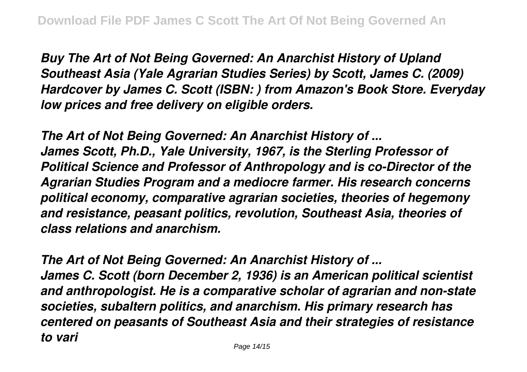*Buy The Art of Not Being Governed: An Anarchist History of Upland Southeast Asia (Yale Agrarian Studies Series) by Scott, James C. (2009) Hardcover by James C. Scott (ISBN: ) from Amazon's Book Store. Everyday low prices and free delivery on eligible orders.*

*The Art of Not Being Governed: An Anarchist History of ... James Scott, Ph.D., Yale University, 1967, is the Sterling Professor of Political Science and Professor of Anthropology and is co-Director of the Agrarian Studies Program and a mediocre farmer. His research concerns political economy, comparative agrarian societies, theories of hegemony and resistance, peasant politics, revolution, Southeast Asia, theories of class relations and anarchism.*

*The Art of Not Being Governed: An Anarchist History of ... James C. Scott (born December 2, 1936) is an American political scientist and anthropologist. He is a comparative scholar of agrarian and non-state societies, subaltern politics, and anarchism. His primary research has centered on peasants of Southeast Asia and their strategies of resistance to vari*